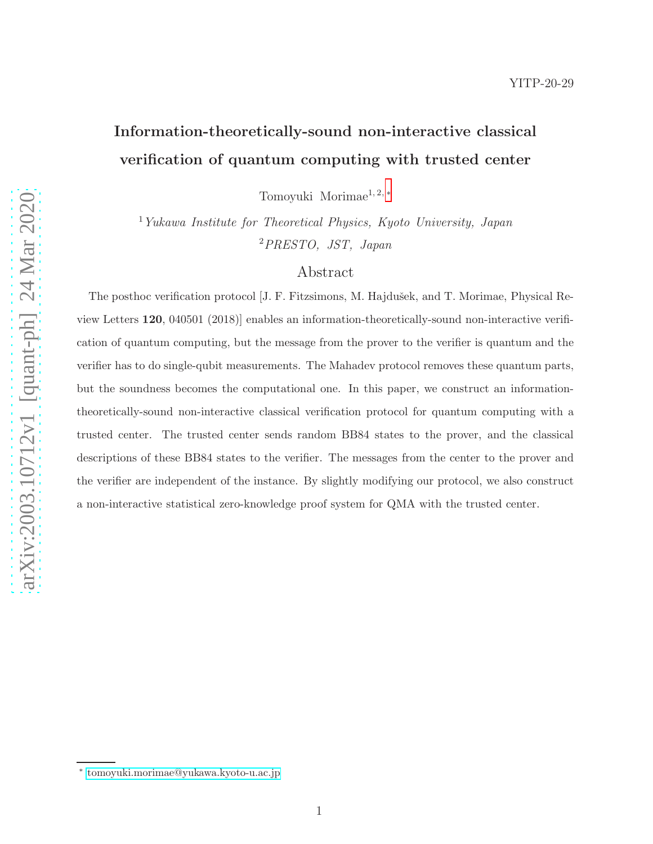# Information-theoretically-sound non-interactive classical verification of quantum computing with trusted center

Tomoyuki Morimae1, 2, [∗](#page-0-0)

 $1$ Yukawa Institute for Theoretical Physics, Kyoto University, Japan <sup>2</sup>PRESTO, JST, Japan

## Abstract

The posthoc verification protocol [J. F. Fitzsimons, M. Hajdušek, and T. Morimae, Physical Review Letters 120, 040501 (2018)] enables an information-theoretically-sound non-interactive verification of quantum computing, but the message from the prover to the verifier is quantum and the verifier has to do single-qubit measurements. The Mahadev protocol removes these quantum parts, but the soundness becomes the computational one. In this paper, we construct an informationtheoretically-sound non-interactive classical verification protocol for quantum computing with a trusted center. The trusted center sends random BB84 states to the prover, and the classical descriptions of these BB84 states to the verifier. The messages from the center to the prover and the verifier are independent of the instance. By slightly modifying our protocol, we also construct a non-interactive statistical zero-knowledge proof system for QMA with the trusted center.

<span id="page-0-0"></span><sup>∗</sup> [tomoyuki.morimae@yukawa.kyoto-u.ac.jp](mailto:tomoyuki.morimae@yukawa.kyoto-u.ac.jp)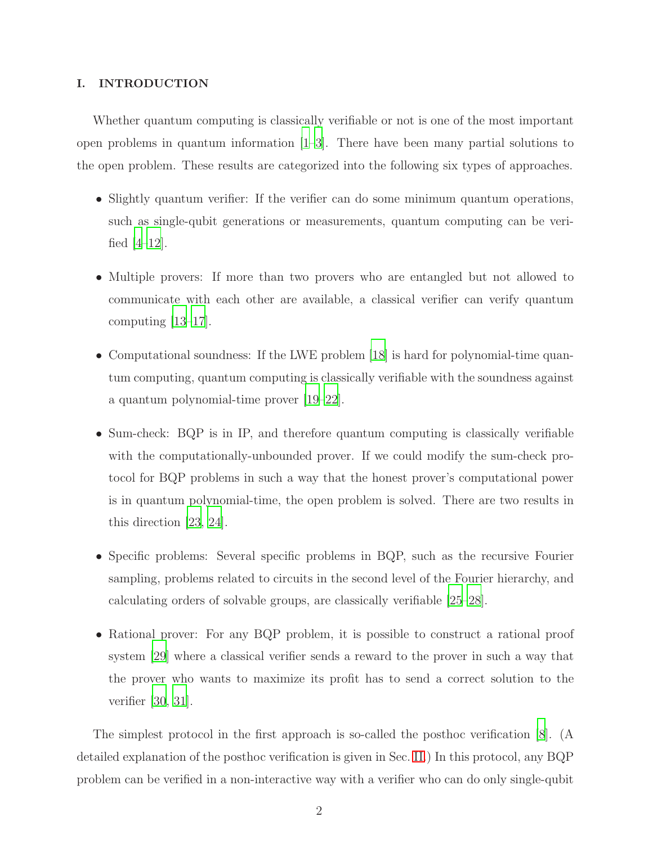## I. INTRODUCTION

Whether quantum computing is classically verifiable or not is one of the most important open problems in quantum information [\[1](#page-9-0)[–3\]](#page-9-1). There have been many partial solutions to the open problem. These results are categorized into the following six types of approaches.

- Slightly quantum verifier: If the verifier can do some minimum quantum operations, such as single-qubit generations or measurements, quantum computing can be verified  $|4-12|$ .
- Multiple provers: If more than two provers who are entangled but not allowed to communicate with each other are available, a classical verifier can verify quantum computing [\[13](#page-11-1)[–17](#page-11-2)].
- Computational soundness: If the LWE problem [\[18\]](#page-12-0) is hard for polynomial-time quantum computing, quantum computing is classically verifiable with the soundness against a quantum polynomial-time prover [\[19](#page-12-1)[–22\]](#page-12-2).
- Sum-check: BQP is in IP, and therefore quantum computing is classically verifiable with the computationally-unbounded prover. If we could modify the sum-check protocol for BQP problems in such a way that the honest prover's computational power is in quantum polynomial-time, the open problem is solved. There are two results in this direction [\[23,](#page-12-3) [24](#page-12-4)].
- Specific problems: Several specific problems in BQP, such as the recursive Fourier sampling, problems related to circuits in the second level of the Fourier hierarchy, and calculating orders of solvable groups, are classically verifiable [\[25](#page-12-5)[–28](#page-12-6)].
- Rational prover: For any BQP problem, it is possible to construct a rational proof system [\[29\]](#page-12-7) where a classical verifier sends a reward to the prover in such a way that the prover who wants to maximize its profit has to send a correct solution to the verifier [\[30,](#page-12-8) [31\]](#page-12-9).

The simplest protocol in the first approach is so-called the posthoc verification [\[8](#page-10-1)]. (A detailed explanation of the posthoc verification is given in Sec. [II.](#page-5-0)) In this protocol, any BQP problem can be verified in a non-interactive way with a verifier who can do only single-qubit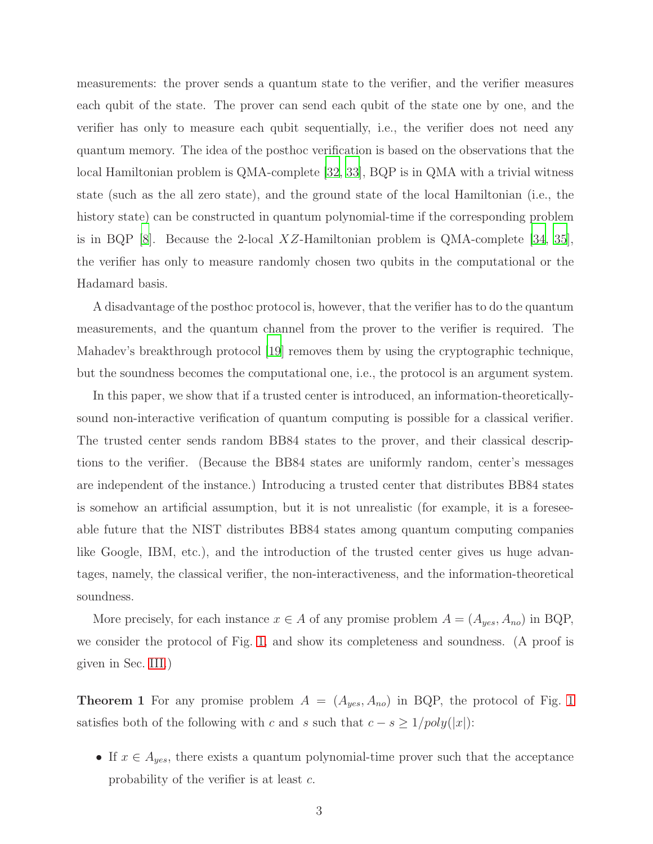measurements: the prover sends a quantum state to the verifier, and the verifier measures each qubit of the state. The prover can send each qubit of the state one by one, and the verifier has only to measure each qubit sequentially, i.e., the verifier does not need any quantum memory. The idea of the posthoc verification is based on the observations that the local Hamiltonian problem is QMA-complete [\[32](#page-12-10), [33\]](#page-13-0), BQP is in QMA with a trivial witness state (such as the all zero state), and the ground state of the local Hamiltonian (i.e., the history state) can be constructed in quantum polynomial-time if the corresponding problem is in BQP [\[8\]](#page-10-1). Because the 2-local XZ-Hamiltonian problem is QMA-complete [\[34,](#page-13-1) [35\]](#page-13-2), the verifier has only to measure randomly chosen two qubits in the computational or the Hadamard basis.

A disadvantage of the posthoc protocol is, however, that the verifier has to do the quantum measurements, and the quantum channel from the prover to the verifier is required. The Mahadev's breakthrough protocol [\[19\]](#page-12-1) removes them by using the cryptographic technique, but the soundness becomes the computational one, i.e., the protocol is an argument system.

In this paper, we show that if a trusted center is introduced, an information-theoreticallysound non-interactive verification of quantum computing is possible for a classical verifier. The trusted center sends random BB84 states to the prover, and their classical descriptions to the verifier. (Because the BB84 states are uniformly random, center's messages are independent of the instance.) Introducing a trusted center that distributes BB84 states is somehow an artificial assumption, but it is not unrealistic (for example, it is a foreseeable future that the NIST distributes BB84 states among quantum computing companies like Google, IBM, etc.), and the introduction of the trusted center gives us huge advantages, namely, the classical verifier, the non-interactiveness, and the information-theoretical soundness.

<span id="page-2-0"></span>More precisely, for each instance  $x \in A$  of any promise problem  $A = (A_{yes}, A_{no})$  in BQP, we consider the protocol of Fig. [1,](#page-3-0) and show its completeness and soundness. (A proof is given in Sec. [III.](#page-6-0))

**Theorem [1](#page-3-0)** For any promise problem  $A = (A_{yes}, A_{no})$  in BQP, the protocol of Fig. 1 satisfies both of the following with c and s such that  $c - s \geq 1/poly(|x|)$ :

• If  $x \in A_{yes}$ , there exists a quantum polynomial-time prover such that the acceptance probability of the verifier is at least c.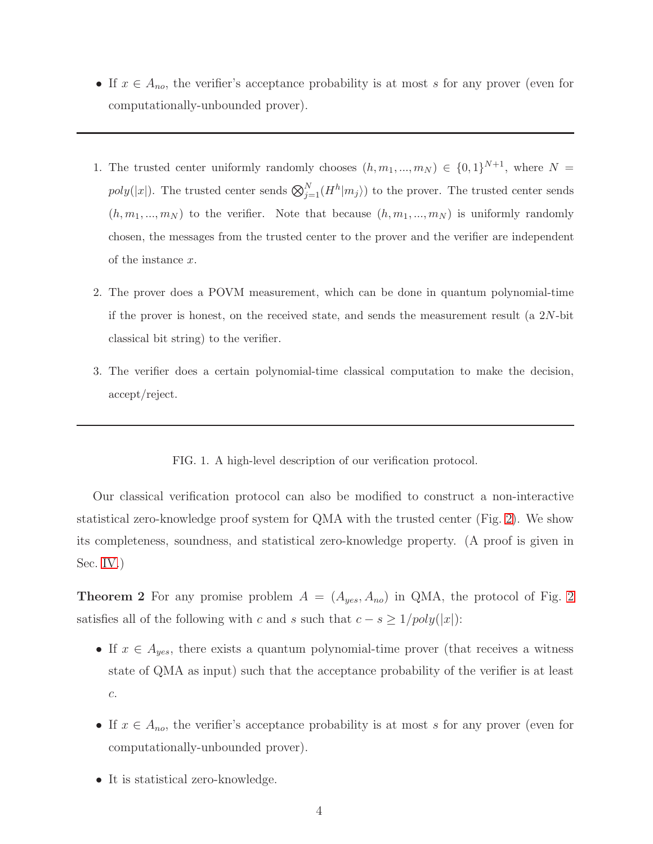- If  $x \in A_{no}$ , the verifier's acceptance probability is at most s for any prover (even for computationally-unbounded prover).
- 1. The trusted center uniformly randomly chooses  $(h, m_1, ..., m_N) \in \{0, 1\}^{N+1}$ , where  $N =$  $poly(|x|)$ . The trusted center sends  $\bigotimes_{j=1}^{N} (H^{h}|m_{j})$  to the prover. The trusted center sends  $(h, m_1, ..., m_N)$  to the verifier. Note that because  $(h, m_1, ..., m_N)$  is uniformly randomly chosen, the messages from the trusted center to the prover and the verifier are independent of the instance x.
- 2. The prover does a POVM measurement, which can be done in quantum polynomial-time if the prover is honest, on the received state, and sends the measurement result (a 2N-bit classical bit string) to the verifier.
- 3. The verifier does a certain polynomial-time classical computation to make the decision, accept/reject.

## <span id="page-3-0"></span>FIG. 1. A high-level description of our verification protocol.

Our classical verification protocol can also be modified to construct a non-interactive statistical zero-knowledge proof system for QMA with the trusted center (Fig. [2\)](#page-4-0). We show its completeness, soundness, and statistical zero-knowledge property. (A proof is given in Sec. [IV.](#page-6-1))

<span id="page-3-1"></span>**Theorem [2](#page-4-0)** For any promise problem  $A = (A_{yes}, A_{no})$  in QMA, the protocol of Fig. 2 satisfies all of the following with c and s such that  $c - s \geq 1/poly(|x|)$ :

- If  $x \in A_{yes}$ , there exists a quantum polynomial-time prover (that receives a witness state of QMA as input) such that the acceptance probability of the verifier is at least c.
- If  $x \in A_{no}$ , the verifier's acceptance probability is at most s for any prover (even for computationally-unbounded prover).
- It is statistical zero-knowledge.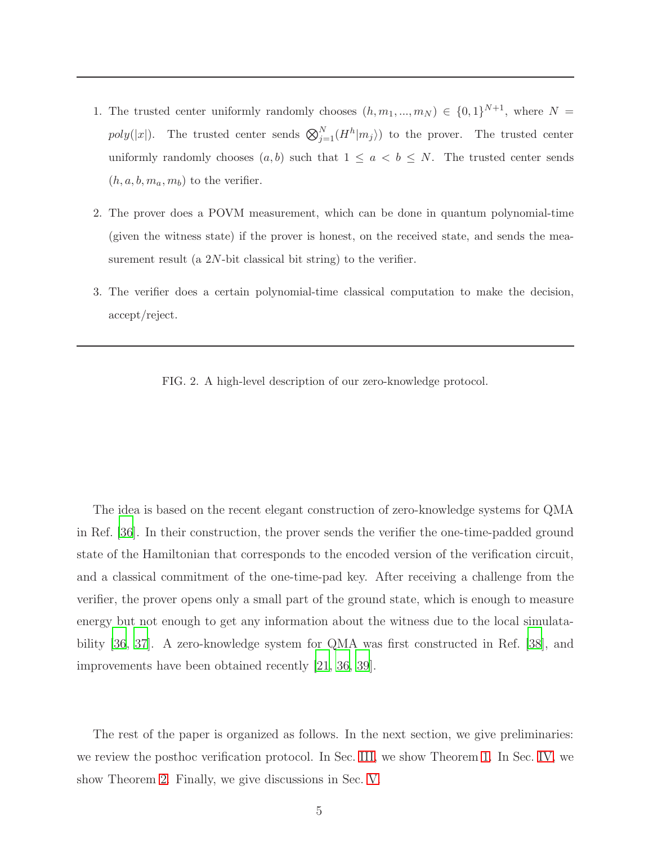- 1. The trusted center uniformly randomly chooses  $(h, m_1, ..., m_N) \in \{0, 1\}^{N+1}$ , where  $N =$ poly(|x|). The trusted center sends  $\bigotimes_{j=1}^{N} (H^{h} | m_{j})$  to the prover. The trusted center uniformly randomly chooses  $(a, b)$  such that  $1 \le a < b \le N$ . The trusted center sends  $(h, a, b, m_a, m_b)$  to the verifier.
- 2. The prover does a POVM measurement, which can be done in quantum polynomial-time (given the witness state) if the prover is honest, on the received state, and sends the measurement result (a  $2N$ -bit classical bit string) to the verifier.
- <span id="page-4-0"></span>3. The verifier does a certain polynomial-time classical computation to make the decision, accept/reject.
	- FIG. 2. A high-level description of our zero-knowledge protocol.

The idea is based on the recent elegant construction of zero-knowledge systems for QMA in Ref. [\[36\]](#page-13-3). In their construction, the prover sends the verifier the one-time-padded ground state of the Hamiltonian that corresponds to the encoded version of the verification circuit, and a classical commitment of the one-time-pad key. After receiving a challenge from the verifier, the prover opens only a small part of the ground state, which is enough to measure energy but not enough to get any information about the witness due to the local simulatability [\[36](#page-13-3), [37](#page-13-4)]. A zero-knowledge system for QMA was first constructed in Ref. [\[38\]](#page-13-5), and improvements have been obtained recently [\[21,](#page-12-11) [36,](#page-13-3) [39\]](#page-13-6).

The rest of the paper is organized as follows. In the next section, we give preliminaries: we review the posthoc verification protocol. In Sec. [III,](#page-6-0) we show Theorem [1.](#page-2-0) In Sec. [IV,](#page-6-1) we show Theorem [2.](#page-3-1) Finally, we give discussions in Sec. [V.](#page-7-0)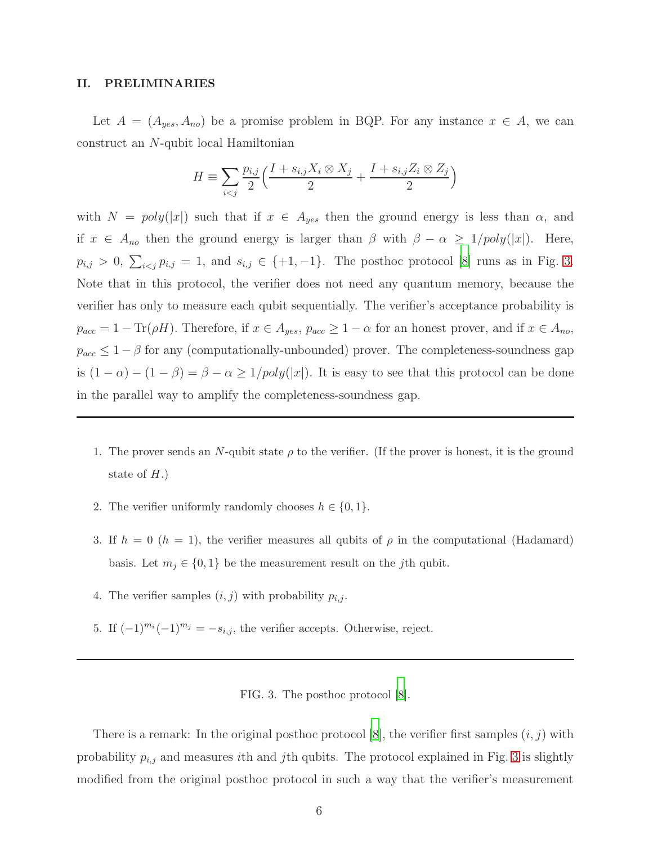### <span id="page-5-0"></span>II. PRELIMINARIES

Let  $A = (A_{yes}, A_{no})$  be a promise problem in BQP. For any instance  $x \in A$ , we can construct an N-qubit local Hamiltonian

$$
H \equiv \sum_{i < j} \frac{p_{i,j}}{2} \left( \frac{I + s_{i,j} X_i \otimes X_j}{2} + \frac{I + s_{i,j} Z_i \otimes Z_j}{2} \right)
$$

with  $N = poly(|x|)$  such that if  $x \in A_{yes}$  then the ground energy is less than  $\alpha$ , and if  $x \in A_{no}$  then the ground energy is larger than  $\beta$  with  $\beta - \alpha \geq 1/poly(|x|)$ . Here,  $p_{i,j} > 0$ ,  $\sum_{i < j} p_{i,j} = 1$ , and  $s_{i,j} \in \{+1, -1\}$ . The posthoc protocol [\[8](#page-10-1)] runs as in Fig. [3.](#page-5-1) Note that in this protocol, the verifier does not need any quantum memory, because the verifier has only to measure each qubit sequentially. The verifier's acceptance probability is  $p_{acc} = 1 - \text{Tr}(\rho H)$ . Therefore, if  $x \in A_{yes}$ ,  $p_{acc} \ge 1 - \alpha$  for an honest prover, and if  $x \in A_{no}$ ,  $p_{acc} \leq 1 - \beta$  for any (computationally-unbounded) prover. The completeness-soundness gap is  $(1 - \alpha) - (1 - \beta) = \beta - \alpha \ge 1/poly(|x|)$ . It is easy to see that this protocol can be done in the parallel way to amplify the completeness-soundness gap.

- 1. The prover sends an N-qubit state  $\rho$  to the verifier. (If the prover is honest, it is the ground state of  $H$ .)
- 2. The verifier uniformly randomly chooses  $h \in \{0, 1\}.$
- 3. If  $h = 0$   $(h = 1)$ , the verifier measures all qubits of  $\rho$  in the computational (Hadamard) basis. Let  $m_j \in \{0,1\}$  be the measurement result on the j<sup>th</sup> qubit.
- 4. The verifier samples  $(i, j)$  with probability  $p_{i,j}$ .
- 5. If  $(-1)^{m_i}(-1)^{m_j} = -s_{i,j}$ , the verifier accepts. Otherwise, reject.

<span id="page-5-1"></span>FIG. 3. The posthoc protocol [\[8](#page-10-1)].

There is a remark: In the original posthoc protocol [\[8](#page-10-1)], the verifier first samples  $(i, j)$  with probability  $p_{i,j}$  and measures *i*th and *j*th qubits. The protocol explained in Fig. [3](#page-5-1) is slightly modified from the original posthoc protocol in such a way that the verifier's measurement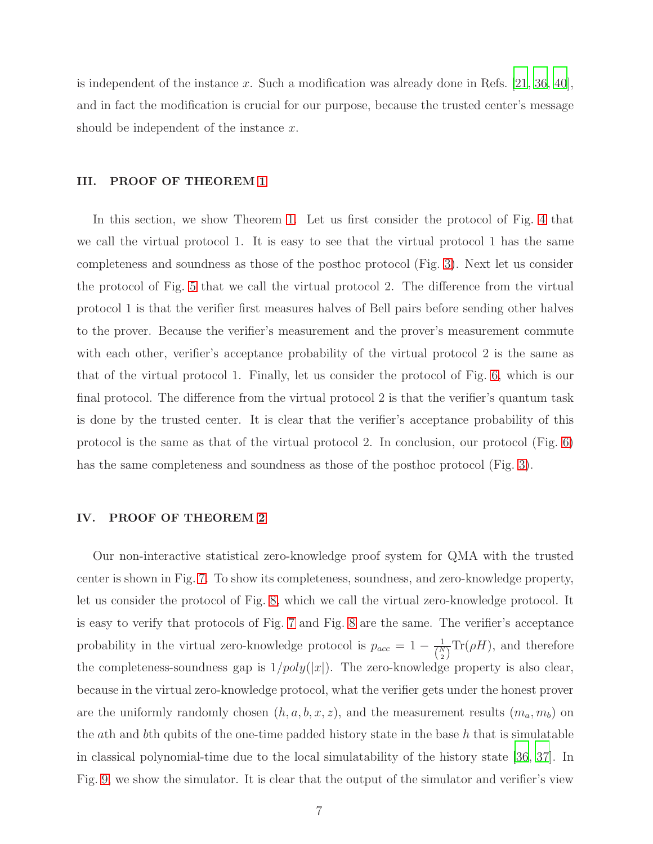is independent of the instance x. Such a modification was already done in Refs.  $[21, 36, 40]$  $[21, 36, 40]$  $[21, 36, 40]$  $[21, 36, 40]$ , and in fact the modification is crucial for our purpose, because the trusted center's message should be independent of the instance  $x$ .

## <span id="page-6-0"></span>III. PROOF OF THEOREM [1](#page-2-0)

In this section, we show Theorem [1.](#page-2-0) Let us first consider the protocol of Fig. [4](#page-7-1) that we call the virtual protocol 1. It is easy to see that the virtual protocol 1 has the same completeness and soundness as those of the posthoc protocol (Fig. [3\)](#page-5-1). Next let us consider the protocol of Fig. [5](#page-8-0) that we call the virtual protocol 2. The difference from the virtual protocol 1 is that the verifier first measures halves of Bell pairs before sending other halves to the prover. Because the verifier's measurement and the prover's measurement commute with each other, verifier's acceptance probability of the virtual protocol 2 is the same as that of the virtual protocol 1. Finally, let us consider the protocol of Fig. [6,](#page-8-1) which is our final protocol. The difference from the virtual protocol 2 is that the verifier's quantum task is done by the trusted center. It is clear that the verifier's acceptance probability of this protocol is the same as that of the virtual protocol 2. In conclusion, our protocol (Fig. [6\)](#page-8-1) has the same completeness and soundness as those of the posthoc protocol (Fig. [3\)](#page-5-1).

## <span id="page-6-1"></span>IV. PROOF OF THEOREM [2](#page-3-1)

Our non-interactive statistical zero-knowledge proof system for QMA with the trusted center is shown in Fig. [7.](#page-9-2) To show its completeness, soundness, and zero-knowledge property, let us consider the protocol of Fig. [8,](#page-10-2) which we call the virtual zero-knowledge protocol. It is easy to verify that protocols of Fig. [7](#page-9-2) and Fig. [8](#page-10-2) are the same. The verifier's acceptance probability in the virtual zero-knowledge protocol is  $p_{acc} = 1 - \frac{1}{N}$  $\frac{1}{\binom{N}{2}}$ Tr( $\rho$ H), and therefore the completeness-soundness gap is  $1/poly(|x|)$ . The zero-knowledge property is also clear, because in the virtual zero-knowledge protocol, what the verifier gets under the honest prover are the uniformly randomly chosen  $(h, a, b, x, z)$ , and the measurement results  $(m_a, m_b)$  on the ath and bth qubits of the one-time padded history state in the base  $h$  that is simulatable in classical polynomial-time due to the local simulatability of the history state [\[36,](#page-13-3) [37\]](#page-13-4). In Fig. [9,](#page-11-3) we show the simulator. It is clear that the output of the simulator and verifier's view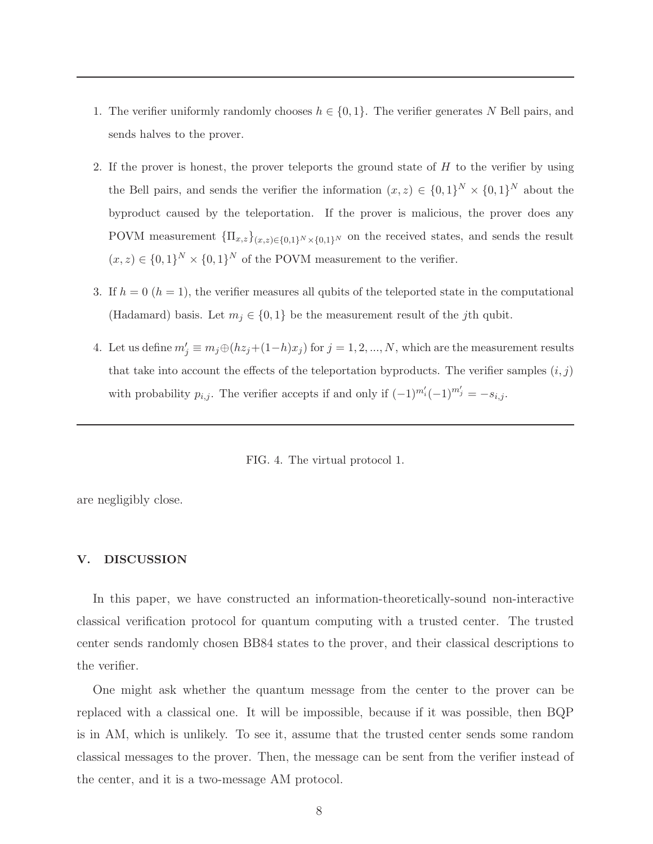- 1. The verifier uniformly randomly chooses  $h \in \{0,1\}$ . The verifier generates N Bell pairs, and sends halves to the prover.
- 2. If the prover is honest, the prover teleports the ground state of  $H$  to the verifier by using the Bell pairs, and sends the verifier the information  $(x, z) \in \{0, 1\}^N \times \{0, 1\}^N$  about the byproduct caused by the teleportation. If the prover is malicious, the prover does any POVM measurement  ${\Pi_{x,z}}_{(x,z)\in{0,1}^N\times{0,1}^N}$  on the received states, and sends the result  $(x, z) \in \{0, 1\}^N \times \{0, 1\}^N$  of the POVM measurement to the verifier.
- 3. If  $h = 0$  ( $h = 1$ ), the verifier measures all qubits of the teleported state in the computational (Hadamard) basis. Let  $m_j \in \{0, 1\}$  be the measurement result of the jth qubit.
- 4. Let us define  $m'_j \equiv m_j \oplus (hz_j + (1-h)x_j)$  for  $j = 1, 2, ..., N$ , which are the measurement results that take into account the effects of the teleportation byproducts. The verifier samples  $(i, j)$ with probability  $p_{i,j}$ . The verifier accepts if and only if  $(-1)^{m'_i}(-1)^{m'_j} = -s_{i,j}$ .

<span id="page-7-1"></span>FIG. 4. The virtual protocol 1.

are negligibly close.

#### <span id="page-7-0"></span>V. DISCUSSION

In this paper, we have constructed an information-theoretically-sound non-interactive classical verification protocol for quantum computing with a trusted center. The trusted center sends randomly chosen BB84 states to the prover, and their classical descriptions to the verifier.

One might ask whether the quantum message from the center to the prover can be replaced with a classical one. It will be impossible, because if it was possible, then BQP is in AM, which is unlikely. To see it, assume that the trusted center sends some random classical messages to the prover. Then, the message can be sent from the verifier instead of the center, and it is a two-message AM protocol.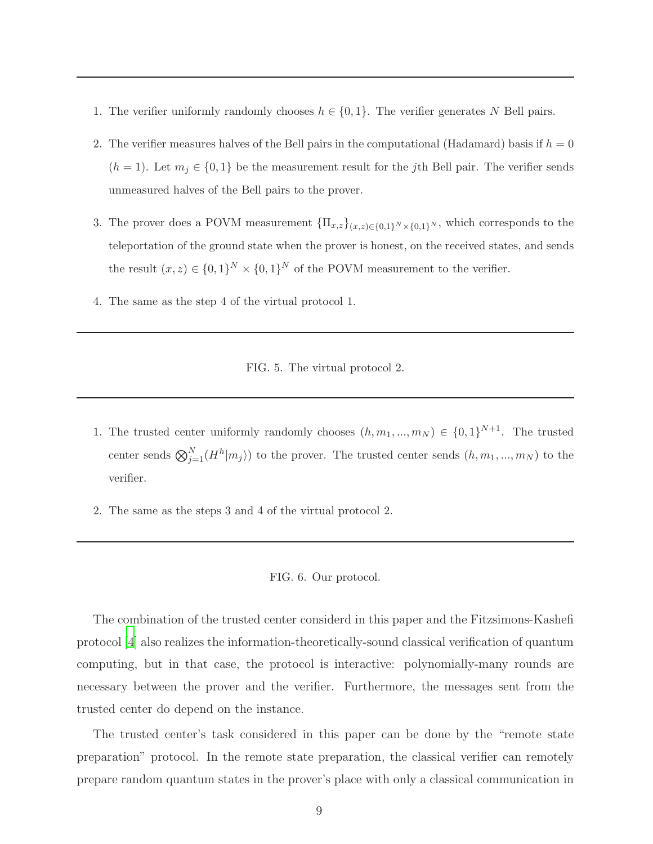- 1. The verifier uniformly randomly chooses  $h \in \{0, 1\}$ . The verifier generates N Bell pairs.
- 2. The verifier measures halves of the Bell pairs in the computational (Hadamard) basis if  $h = 0$  $(h = 1)$ . Let  $m_j \in \{0, 1\}$  be the measurement result for the j<sup>th</sup> Bell pair. The verifier sends unmeasured halves of the Bell pairs to the prover.
- 3. The prover does a POVM measurement  ${\{\Pi_{x,z}\}}_{(x,z)\in\{0,1\}^N\times\{0,1\}^N}$ , which corresponds to the teleportation of the ground state when the prover is honest, on the received states, and sends the result  $(x, z) \in \{0, 1\}^N \times \{0, 1\}^N$  of the POVM measurement to the verifier.
- 4. The same as the step 4 of the virtual protocol 1.

<span id="page-8-0"></span>FIG. 5. The virtual protocol 2.

- 1. The trusted center uniformly randomly chooses  $(h, m_1, ..., m_N) \in \{0, 1\}^{N+1}$ . The trusted center sends  $\bigotimes_{j=1}^{N} (H^{h} | m_{j})$  to the prover. The trusted center sends  $(h, m_{1}, ..., m_{N})$  to the verifier.
- 2. The same as the steps 3 and 4 of the virtual protocol 2.

<span id="page-8-1"></span>

The combination of the trusted center considerd in this paper and the Fitzsimons-Kashefi protocol [\[4\]](#page-10-0) also realizes the information-theoretically-sound classical verification of quantum computing, but in that case, the protocol is interactive: polynomially-many rounds are necessary between the prover and the verifier. Furthermore, the messages sent from the trusted center do depend on the instance.

The trusted center's task considered in this paper can be done by the "remote state preparation" protocol. In the remote state preparation, the classical verifier can remotely prepare random quantum states in the prover's place with only a classical communication in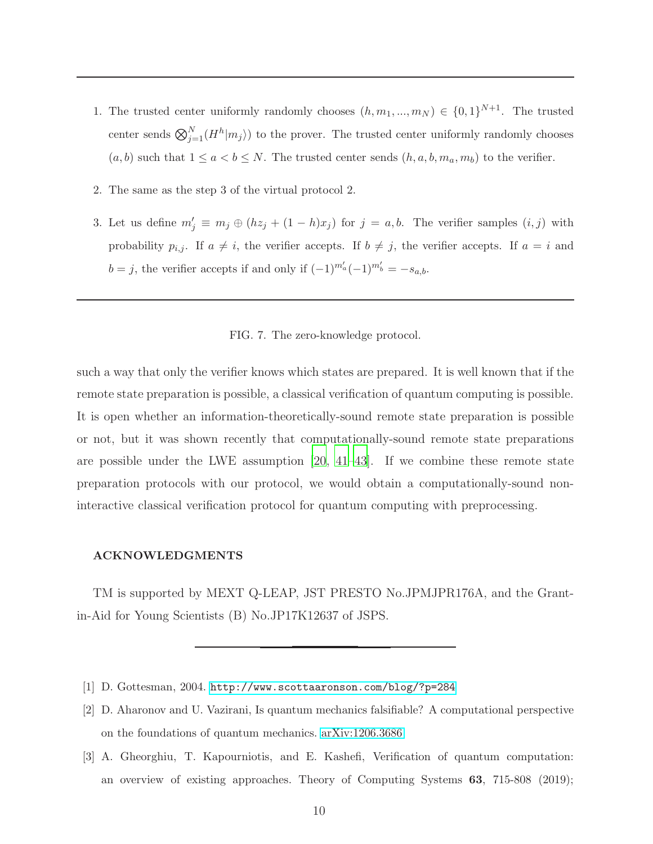- 1. The trusted center uniformly randomly chooses  $(h, m_1, ..., m_N) \in \{0, 1\}^{N+1}$ . The trusted center sends  $\bigotimes_{j=1}^{N} (H^{h} | m_{j})$  to the prover. The trusted center uniformly randomly chooses  $(a, b)$  such that  $1 \le a < b \le N$ . The trusted center sends  $(h, a, b, m_a, m_b)$  to the verifier.
- 2. The same as the step 3 of the virtual protocol 2.
- 3. Let us define  $m'_j \equiv m_j \oplus (hz_j + (1-h)x_j)$  for  $j = a, b$ . The verifier samples  $(i, j)$  with probability  $p_{i,j}$ . If  $a \neq i$ , the verifier accepts. If  $b \neq j$ , the verifier accepts. If  $a = i$  and  $b = j$ , the verifier accepts if and only if  $(-1)^{m'_a}(-1)^{m'_b} = -s_{a,b}$ .

<span id="page-9-2"></span>FIG. 7. The zero-knowledge protocol.

such a way that only the verifier knows which states are prepared. It is well known that if the remote state preparation is possible, a classical verification of quantum computing is possible. It is open whether an information-theoretically-sound remote state preparation is possible or not, but it was shown recently that computationally-sound remote state preparations are possible under the LWE assumption  $|20, 41-43|$  $|20, 41-43|$  $|20, 41-43|$ . If we combine these remote state preparation protocols with our protocol, we would obtain a computationally-sound noninteractive classical verification protocol for quantum computing with preprocessing.

#### ACKNOWLEDGMENTS

TM is supported by MEXT Q-LEAP, JST PRESTO No.JPMJPR176A, and the Grantin-Aid for Young Scientists (B) No.JP17K12637 of JSPS.

- <span id="page-9-0"></span>[1] D. Gottesman, 2004. <http://www.scottaaronson.com/blog/?p=284>
- [2] D. Aharonov and U. Vazirani, Is quantum mechanics falsifiable? A computational perspective on the foundations of quantum mechanics. [arXiv:1206.3686](http://arxiv.org/abs/1206.3686)
- <span id="page-9-1"></span>[3] A. Gheorghiu, T. Kapourniotis, and E. Kashefi, Verification of quantum computation: an overview of existing approaches. Theory of Computing Systems 63, 715-808 (2019);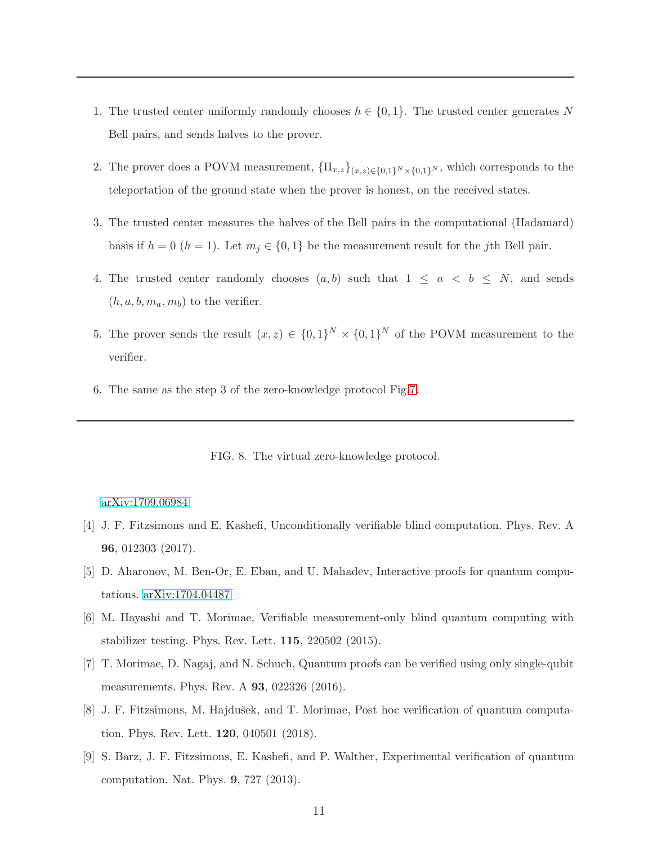- 1. The trusted center uniformly randomly chooses  $h \in \{0, 1\}$ . The trusted center generates N Bell pairs, and sends halves to the prover.
- 2. The prover does a POVM measurement,  ${\{\Pi_{x,z}\}}_{(x,z)\in\{0,1\}^N\times\{0,1\}^N}$ , which corresponds to the teleportation of the ground state when the prover is honest, on the received states.
- 3. The trusted center measures the halves of the Bell pairs in the computational (Hadamard) basis if  $h = 0$   $(h = 1)$ . Let  $m<sub>j</sub> \in \{0, 1\}$  be the measurement result for the j<sup>th</sup> Bell pair.
- 4. The trusted center randomly chooses  $(a, b)$  such that  $1 \le a \le b \le N$ , and sends  $(h, a, b, m_a, m_b)$  to the verifier.
- 5. The prover sends the result  $(x, z) \in \{0, 1\}^N \times \{0, 1\}^N$  of the POVM measurement to the verifier.
- 6. The same as the step 3 of the zero-knowledge protocol Fig[.7.](#page-9-2)

<span id="page-10-2"></span>FIG. 8. The virtual zero-knowledge protocol.

### [arXiv:1709.06984](http://arxiv.org/abs/1709.06984)

- <span id="page-10-0"></span>[4] J. F. Fitzsimons and E. Kashefi, Unconditionally verifiable blind computation. Phys. Rev. A 96, 012303 (2017).
- [5] D. Aharonov, M. Ben-Or, E. Eban, and U. Mahadev, Interactive proofs for quantum computations. [arXiv:1704.04487](http://arxiv.org/abs/1704.04487)
- [6] M. Hayashi and T. Morimae, Verifiable measurement-only blind quantum computing with stabilizer testing. Phys. Rev. Lett. 115, 220502 (2015).
- [7] T. Morimae, D. Nagaj, and N. Schuch, Quantum proofs can be verified using only single-qubit measurements. Phys. Rev. A 93, 022326 (2016).
- <span id="page-10-1"></span>[8] J. F. Fitzsimons, M. Hajdušek, and T. Morimae, Post hoc verification of quantum computation. Phys. Rev. Lett. 120, 040501 (2018).
- [9] S. Barz, J. F. Fitzsimons, E. Kashefi, and P. Walther, Experimental verification of quantum computation. Nat. Phys. 9, 727 (2013).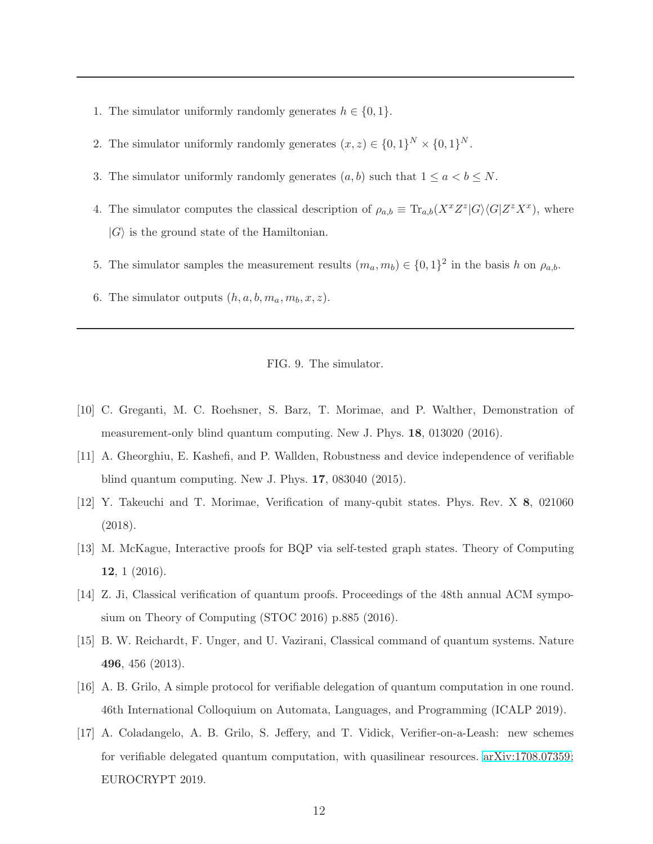- 1. The simulator uniformly randomly generates  $h \in \{0, 1\}.$
- 2. The simulator uniformly randomly generates  $(x, z) \in \{0, 1\}^N \times \{0, 1\}^N$ .
- 3. The simulator uniformly randomly generates  $(a, b)$  such that  $1 \le a \le b \le N$ .
- 4. The simulator computes the classical description of  $\rho_{a,b} \equiv \text{Tr}_{a,b}(X^x Z^z | G \rangle \langle G | Z^z X^x)$ , where  $|G\rangle$  is the ground state of the Hamiltonian.
- 5. The simulator samples the measurement results  $(m_a, m_b) \in \{0, 1\}^2$  in the basis h on  $\rho_{a,b}$ .
- 6. The simulator outputs  $(h, a, b, m_a, m_b, x, z)$ .

### <span id="page-11-3"></span>FIG. 9. The simulator.

- [10] C. Greganti, M. C. Roehsner, S. Barz, T. Morimae, and P. Walther, Demonstration of measurement-only blind quantum computing. New J. Phys. 18, 013020 (2016).
- [11] A. Gheorghiu, E. Kashefi, and P. Wallden, Robustness and device independence of verifiable blind quantum computing. New J. Phys. 17, 083040 (2015).
- <span id="page-11-0"></span>[12] Y. Takeuchi and T. Morimae, Verification of many-qubit states. Phys. Rev. X 8, 021060 (2018).
- <span id="page-11-1"></span>[13] M. McKague, Interactive proofs for BQP via self-tested graph states. Theory of Computing 12, 1 (2016).
- [14] Z. Ji, Classical verification of quantum proofs. Proceedings of the 48th annual ACM symposium on Theory of Computing (STOC 2016) p.885 (2016).
- [15] B. W. Reichardt, F. Unger, and U. Vazirani, Classical command of quantum systems. Nature 496, 456 (2013).
- [16] A. B. Grilo, A simple protocol for verifiable delegation of quantum computation in one round. 46th International Colloquium on Automata, Languages, and Programming (ICALP 2019).
- <span id="page-11-2"></span>[17] A. Coladangelo, A. B. Grilo, S. Jeffery, and T. Vidick, Verifier-on-a-Leash: new schemes for verifiable delegated quantum computation, with quasilinear resources. [arXiv:1708.07359;](http://arxiv.org/abs/1708.07359) EUROCRYPT 2019.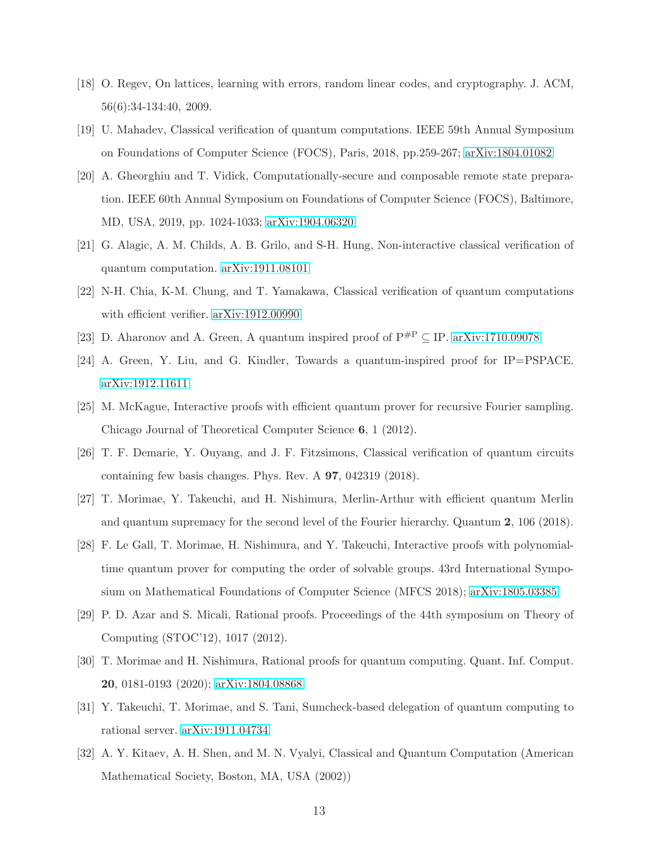- <span id="page-12-0"></span>[18] O. Regev, On lattices, learning with errors, random linear codes, and cryptography. J. ACM, 56(6):34-134:40, 2009.
- <span id="page-12-1"></span>[19] U. Mahadev, Classical verification of quantum computations. IEEE 59th Annual Symposium on Foundations of Computer Science (FOCS), Paris, 2018, pp.259-267; [arXiv:1804.01082](http://arxiv.org/abs/1804.01082)
- <span id="page-12-12"></span>[20] A. Gheorghiu and T. Vidick, Computationally-secure and composable remote state preparation. IEEE 60th Annual Symposium on Foundations of Computer Science (FOCS), Baltimore, MD, USA, 2019, pp. 1024-1033; [arXiv:1904.06320](http://arxiv.org/abs/1904.06320)
- <span id="page-12-11"></span>[21] G. Alagic, A. M. Childs, A. B. Grilo, and S-H. Hung, Non-interactive classical verification of quantum computation. [arXiv:1911.08101](http://arxiv.org/abs/1911.08101)
- <span id="page-12-2"></span>[22] N-H. Chia, K-M. Chung, and T. Yamakawa, Classical verification of quantum computations with efficient verifier. [arXiv:1912.00990](http://arxiv.org/abs/1912.00990)
- <span id="page-12-3"></span>[23] D. Aharonov and A. Green, A quantum inspired proof of  $P^{\#P} \subseteq IP$ . [arXiv:1710.09078](http://arxiv.org/abs/1710.09078)
- <span id="page-12-4"></span>[24] A. Green, Y. Liu, and G. Kindler, Towards a quantum-inspired proof for IP=PSPACE. [arXiv:1912.11611](http://arxiv.org/abs/1912.11611)
- <span id="page-12-5"></span>[25] M. McKague, Interactive proofs with efficient quantum prover for recursive Fourier sampling. Chicago Journal of Theoretical Computer Science 6, 1 (2012).
- [26] T. F. Demarie, Y. Ouyang, and J. F. Fitzsimons, Classical verification of quantum circuits containing few basis changes. Phys. Rev. A 97, 042319 (2018).
- [27] T. Morimae, Y. Takeuchi, and H. Nishimura, Merlin-Arthur with efficient quantum Merlin and quantum supremacy for the second level of the Fourier hierarchy. Quantum 2, 106 (2018).
- <span id="page-12-6"></span>[28] F. Le Gall, T. Morimae, H. Nishimura, and Y. Takeuchi, Interactive proofs with polynomialtime quantum prover for computing the order of solvable groups. 43rd International Symposium on Mathematical Foundations of Computer Science (MFCS 2018); [arXiv:1805.03385](http://arxiv.org/abs/1805.03385)
- <span id="page-12-7"></span>[29] P. D. Azar and S. Micali, Rational proofs. Proceedings of the 44th symposium on Theory of Computing (STOC'12), 1017 (2012).
- <span id="page-12-8"></span>[30] T. Morimae and H. Nishimura, Rational proofs for quantum computing. Quant. Inf. Comput. 20, 0181-0193 (2020); [arXiv:1804.08868](http://arxiv.org/abs/1804.08868)
- <span id="page-12-9"></span>[31] Y. Takeuchi, T. Morimae, and S. Tani, Sumcheck-based delegation of quantum computing to rational server. [arXiv:1911.04734](http://arxiv.org/abs/1911.04734)
- <span id="page-12-10"></span>[32] A. Y. Kitaev, A. H. Shen, and M. N. Vyalyi, Classical and Quantum Computation (American Mathematical Society, Boston, MA, USA (2002))